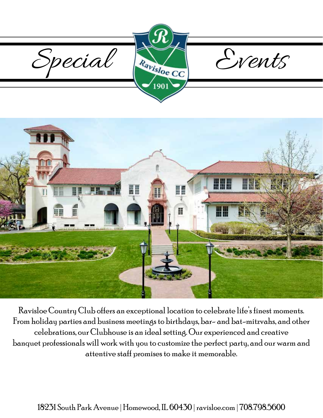



Ravisloe Country Club offers an exceptional location to celebrate life's finest moments. From holiday parties and business meetings to birthdays, bar- and bat-mitzvahs, and other celebrations, our Clubhouse is an ideal setting. Our experienced and creative banquet professionals will work with you to customize the perfect party, and our warm and attentive staff promises to make it memorable.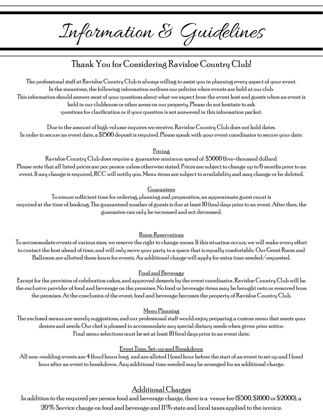Information & Guidelines

# Thank You for Considering Ravisloe Country Club!

The professional staff at Ravisloe Country Club is always willing to assist you in planning every aspect of your event. In the meantime, the following information outlines our policies when events are held at our club. This information should answer most of your questions about what we expect from the event host and guests when an event is held in our clubhouse or other areas on our property. Please do not hesitate to ask questions for clarification or if your question is not answered in this information packet.

Due to the amount of high volume inquires we receive, Ravisloe Country Club does not hold dates. In order to secure an event date, a \$1500 deposit is required. Please speak with your event coordinator to secure your date.

#### Pricing

Ravisloe Country Club does require a guarantee minimum spend of \$5000 (five-thousand dollars). Please note that all listed prices are per person unless otherwise stated. Prices are subject to change up to 6 months prior to an event. If any change is required, RCC will notify you. Menu items are subject to availability and may change or be deleted.

#### Guarantees

To ensure sufficient time for ordering, planning and preparation, an approximate guest count is required at the time of booking. The guaranteed number of guests is due at least 10 (ten) days prior to an event. After then, the guarantee can only be increased and not decreased.

### Room Reservations

To accommodate events of various sizes, we reserve the right to change rooms. If this situation occurs, we will make every effort to contact the host ahead of time, and will only move your party to a space that is equally comfortable. Our Great Room and Ballroom are allotted three hours for events. An additional charge will apply for extra time needed/requested.

#### Food and Beverage

Except for the provision of celebration cakes, and approved desserts by the event coordinator, Ravisloe Country Club will be the exclusive provider of food and beverage on the premises. No food or beverage items may be brought onto or removed from the premises. At the conclusion of the event, food and beverage becomes the property of Ravisloe Country Club.

#### Menu Planning

The enclosed menus are merely suggestions, and our professional staff would enjoy preparing a custom menu that meets your desires and needs. Our chef is pleased to accommodate any special dietary needs when given prior notice. Final menu selections must be set at least  $10$  (ten) days prior to an event date.

#### Event Time, Set-up and Breakdown

All non-wedding events are  $4$  (four) hours long and are alloted 1 (one) hour before the start of an event to set up and 1 (one) hour after an event to breakdown. Any additional time needed may be arranged for an additional charge.

## Additional Charges

In addition to the required per person food and beverage charge, there is a venue fee (\$500, \$1000 or \$2000), a  $20\%$  Service charge on food and beverage and  $11\%$  state and local taxes applied to the invoice.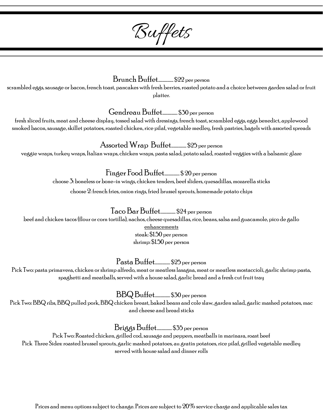Buffets

## Brunch Buffet.................. \$22 per person

scrambled eggs, sausage or bacon, french toast, pancakes with fresh berries, roasted potato and a choice between garden salad or fruit platter.

Gendreau Buffet.................. \$30 per person

fresh sliced fruits, meat and cheese display, tossed salad with dressings, french toast, scrambled eggs, eggs benedict, applewood smoked bacon, sausage, skillet potatoes, roasted chicken, rice pilaf, vegetable medley, fresh pastries, bagels with assorted spreads

Assorted Wrap Buffet.................. \$25 per person veggie wraps, turkey wraps, Italian wraps, chicken wraps, pasta salad, potato salad, roasted veggies with a balsamic glaze

Finger Food Buffet.................. \$ 20 per person

choose 3: boneless or bone-in wings, chicken tenders, beef sliders, quesadillas, mozarella sticks

choose 2: french fries, onion rings, fried brussel sprouts, homemade potato chips

Taco Bar Buffet.................. \$24 per person

beef and chicken tacos (flour or corn tortilla), nachos, cheese quesadillas, rice, beans, salsa and guacamole, pico de gallo

enhancements steak: \$1.50 per person

shrimp: \$1.50 per person

Pasta Buffet.................. \$25 per person

Pick Two: pasta primavera, chicken or shrimp alfredo, meat or meatless lasagna, meat or meatless mostaccioli, garlic shrimp pasta, spaghetti and meatballs, served with a house salad, garlic bread and a fresh cut fruit tray

BBQ Buffet.................. \$30 per person

Pick Two: BBQ ribs, BBQ pulled pork, BBQ chicken breast, baked beans and cole slaw, garden salad, garlic mashed potatoes, mac and cheese and bread sticks

Briggs Buffet.................. \$35 per person

Pick Two: Roasted chicken, grilled cod, sausage and peppers, meatballs in marinara, roast beef Pick Three Sides: roasted brussel sprouts, garlic mashed potatoes, au gratin potatoes, rice pilaf, grilled vegetable medley served with house salad and dinner rolls

Prices and menu options subject to change. Prices are subject to 20% service charge and applicable sales tax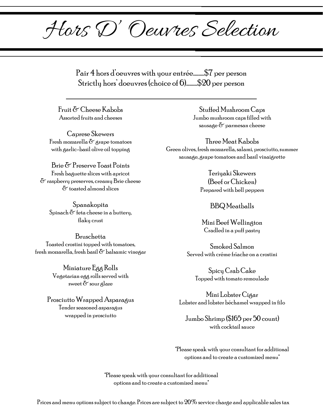Hors D' Oeuvres Selection

Pair 4 hors d'oeuvres with your entrée..........\$7 per person Strictly hors' doeuvres (choice of 6)..........\$20 per person

Fruit & Cheese Kabobs Assorted fruits and cheeses

Caprese Skewers Fresh mozzarella  $\delta$  grape tomatoes with garlic-basil olive oil topping

Brie & Preserve Toast Points Fresh baguette slices with apricot  $\delta$  raspberry preserves, creamy Brie cheese & toasted almond slices

Spanakopita Spinach  $\delta$  feta cheese in a buttery, flaky crust

Bruschetta Toasted crostini topped with tomatoes, fresh mozzarella, fresh basil  $\sigma$  balsamic vinegar

> Miniature Egg Rolls Vegetarian egg rolls served with sweet  $\delta$  sour glaze

Prosciutto Wrapped Asparagus Tender seasoned asparagus wrapped in prosciutto

Stuffed Mushroom Caps Jumbo mushroom caps filled with sausage & parmesan cheese

Three Meat Kabobs Green olives, fresh mozzarella, salami, prosciutto, summer sausage, grape tomatoes and basil vinaigrette

> Teriyaki Skewers (Beef or Chicken) Prepared with bell peppers

## BBQ Meatballs

Mini Beef Wellington Cradled in a puff pastry

Smoked Salmon Served with créme frîache on a crostini

Spicy Crab Cake Topped with tomato remoulade

Mini Lobster Cigar Lobster and lobster béchamel wrapped in filo

Jumbo Shrimp (\$165 per 50 count) with cocktail sauce

\*Please speak with your consultant for additional options and to create a customized menu\*

\*Please speak with your consultant for additional options and to create a customized menu\*

Prices and menu options subject to change. Prices are subject to 20% service charge and applicable sales tax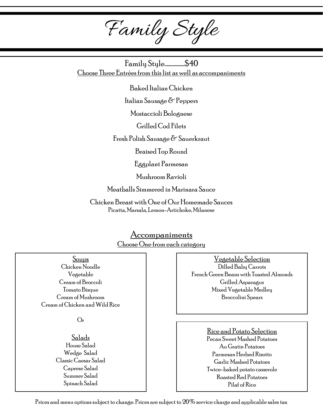Family Style

Family Style..................\$40 Choose Three Entrées from this list as well as accompaniments

Baked Italian Chicken

Italian Sausage & Peppers

Mostaccioli Bolognese

Grilled Cod Filets

Fresh Polish Sausage & Sauerkraut

Braised Top Round

Eggplant Parmesan

Mushroom Ravioli

Meatballs Simmered in Marinara Sauce

Chicken Breast with One of Our Homemade Sauces Picatta, Marsala, Lemon-Artichoke, Milanese

## Accompaniments Choose One from each category

Soups Chicken Noodle Vegetable Cream of Broccoli Tomato Bisque Cream of Mushroom Cream of Chicken and Wild Rice

Or

Salads House Salad Wedge Salad Classic Caesar Salad Caprese Salad Summer Salad Spinach Salad

Vegetable Selection Dilled Baby Carrots French Green Beans with Toasted Almonds Grilled Asparagus Mixed Vegetable Medley Broccolini Spears

> Rice and Potato Selection Pecan Sweet Mashed Potatoes Au Gratin Potatoes Parmesan Herbed Risotto Garlic Mashed Potatoes Twice-baked potato casserole Roasted Red Potatoes Pilaf of Rice

Prices and menu options subject to change. Prices are subject to 20% service charge and applicable sales tax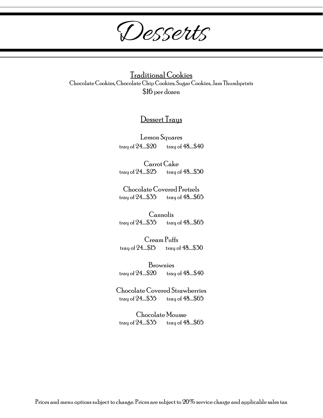Desserts

Traditional Cookies Chocolate Cookies, Chocolate Chip Cookies, Sugar Cookies, Jam Thumbprints \$16 per dozen

## Dessert Trays

Lemon Squares tray of  $24$ .....\$20 tray of  $48$ ....\$40

Carrot Cake tray of  $24$ .....\$25 tray of  $48$ ....\$50

Chocolate Covered Pretzels tray of  $24$ .....\$35 tray of  $48$ ....\$65

Cannolis tray of  $24$ .....\$35 tray of  $48$ ....\$65

Cream Puffs tray of  $24$ .....\$15 tray of  $48$ ....\$30

Brownies tray of  $24...520$  tray of  $48...540$ 

Chocolate Covered Strawberries tray of  $24$ .....\$35 tray of  $48$ ....\$65

Chocolate Mousse tray of  $24$ .....\$35 tray of  $48$ ....\$65